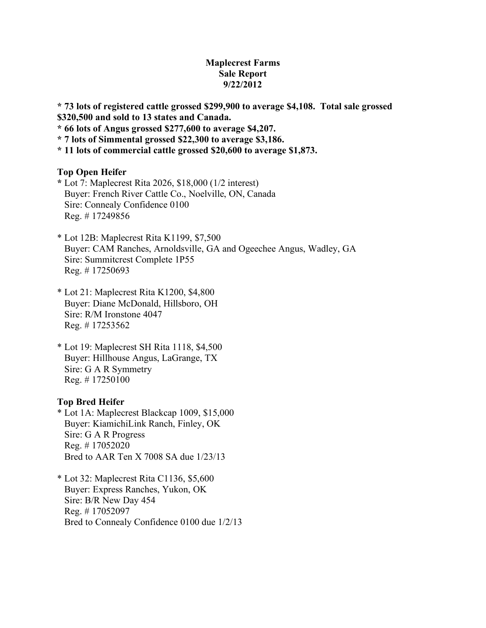# **Maplecrest Farms Sale Report 9/22/2012**

**\* 73 lots of registered cattle grossed \$299,900 to average \$4,108. Total sale grossed \$320,500 and sold to 13 states and Canada.**

**\* 66 lots of Angus grossed \$277,600 to average \$4,207.**

**\* 7 lots of Simmental grossed \$22,300 to average \$3,186.**

**\* 11 lots of commercial cattle grossed \$20,600 to average \$1,873.**

#### **Top Open Heifer**

**\*** Lot 7: Maplecrest Rita 2026, \$18,000 (1/2 interest) Buyer: French River Cattle Co., Noelville, ON, Canada Sire: Connealy Confidence 0100 Reg. # 17249856

- \* Lot 12B: Maplecrest Rita K1199, \$7,500 Buyer: CAM Ranches, Arnoldsville, GA and Ogeechee Angus, Wadley, GA Sire: Summitcrest Complete 1P55 Reg. # 17250693
- \* Lot 21: Maplecrest Rita K1200, \$4,800 Buyer: Diane McDonald, Hillsboro, OH Sire: R/M Ironstone 4047 Reg. # 17253562
- \* Lot 19: Maplecrest SH Rita 1118, \$4,500 Buyer: Hillhouse Angus, LaGrange, TX Sire: G A R Symmetry Reg. # 17250100

### **Top Bred Heifer**

\* Lot 1A: Maplecrest Blackcap 1009, \$15,000 Buyer: KiamichiLink Ranch, Finley, OK Sire: G A R Progress Reg. # 17052020 Bred to AAR Ten X 7008 SA due 1/23/13

\* Lot 32: Maplecrest Rita C1136, \$5,600 Buyer: Express Ranches, Yukon, OK Sire: B/R New Day 454 Reg. # 17052097 Bred to Connealy Confidence 0100 due 1/2/13